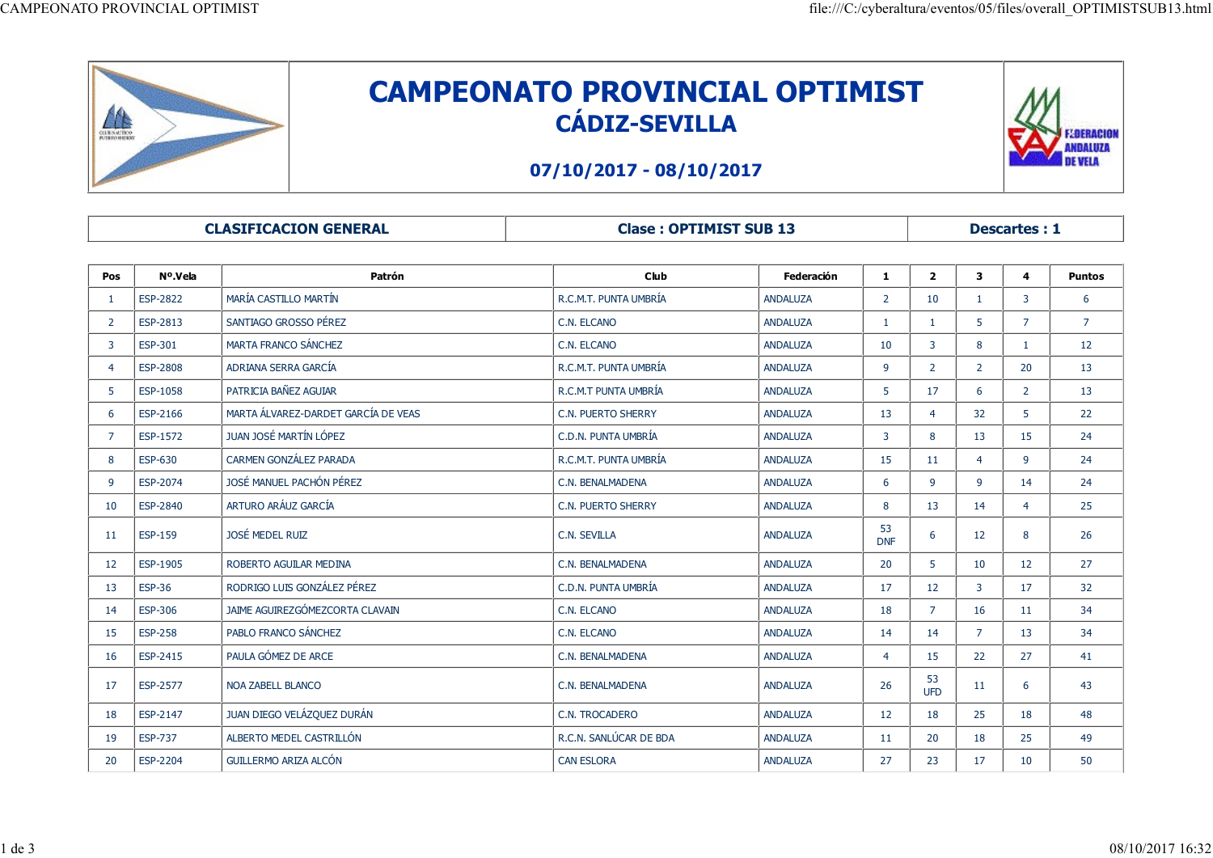

## CAMPEONATO PROVINCIAL OPTIMIST CÁDIZ-SEVILLA CAMPEONATO PROVINCIAL OPTIMISTSUB13.html<br>
CAMPEONATO PROVINCIAL OPTIMIST



## 07/10/2017 - 08/10/2017

| LŒ<br>CLUSSAUTICO       |                 |                                     |                        | <b>CAMPEONATO PROVINCIAL OPTIMIST</b><br><b>CÁDIZ-SEVILLA</b><br>07/10/2017 - 08/10/2017 |                         |                         |                         |                         | <b>LOERACIOI</b><br>NDALUZA<br>DE VELA |  |  |
|-------------------------|-----------------|-------------------------------------|------------------------|------------------------------------------------------------------------------------------|-------------------------|-------------------------|-------------------------|-------------------------|----------------------------------------|--|--|
|                         |                 | <b>CLASIFICACION GENERAL</b>        |                        | <b>Clase: OPTIMIST SUB 13</b>                                                            |                         |                         |                         | <b>Descartes: 1</b>     |                                        |  |  |
| Pos                     | Nº.Vela         | Patrón                              | Club                   | Federación                                                                               | 1                       | $\overline{\mathbf{2}}$ | $\mathbf{3}$            | $\overline{\mathbf{4}}$ | <b>Puntos</b>                          |  |  |
| $\mathbf{1}$            | <b>ESP-2822</b> | MARÍA CASTILLO MARTÍN               | R.C.M.T. PUNTA UMBRÍA  | <b>ANDALUZA</b>                                                                          | $\overline{2}$          | 10                      | $\mathbf{1}$            | $\overline{\mathbf{3}}$ | 6                                      |  |  |
| $\overline{2}$          | ESP-2813        | SANTIAGO GROSSO PÉREZ               | C.N. ELCANO            | ANDALUZA                                                                                 | $\mathbf{1}$            | $\blacksquare$          | $5^{\circ}$             | $\overline{7}$          | $\overline{7}$                         |  |  |
| $\overline{\mathbf{3}}$ | <b>ESP-301</b>  | MARTA FRANCO SÁNCHEZ                | C.N. ELCANO            | <b>ANDALUZA</b>                                                                          | 10                      | $\overline{3}$          | 8                       | $\mathbf{1}$            | 12                                     |  |  |
| -4                      | ESP-2808        | ADRIANA SERRA GARCÍA                | R.C.M.T. PUNTA UMBRÍA  | ANDALUZA                                                                                 | 9                       | $\overline{2}$          | $\overline{2}$          | 20                      | 13                                     |  |  |
| 5 <sup>5</sup>          | <b>ESP-1058</b> | PATRICIA BAÑEZ AGUIAR               | R.C.M.T PUNTA UMBRÍA   | <b>ANDALUZA</b>                                                                          | $5^{\circ}$             | 17                      | 6                       | $\overline{2}$          | 13                                     |  |  |
| 6                       | ESP-2166        | MARTA ÁLVAREZ-DARDET GARCÍA DE VEAS | C.N. PUERTO SHERRY     | ANDALUZA                                                                                 | 13                      | $\overline{4}$          | 32                      | 5 <sup>5</sup>          | 22                                     |  |  |
|                         | <b>ESP-1572</b> | JUAN JOSÉ MARTÍN LÓPEZ              | C.D.N. PUNTA UMBRÍA    | ANDALUZA                                                                                 | $\overline{\mathbf{3}}$ | 8                       | 13                      | 15                      | 24                                     |  |  |
| 8                       | <b>ESP-630</b>  | CARMEN GONZÁLEZ PARADA              | R.C.M.T. PUNTA UMBRÍA  | <b>ANDALUZA</b>                                                                          | 15                      | 11                      | 4                       | -9                      | 24                                     |  |  |
| -9                      | ESP-2074        | JOSÉ MANUEL PACHÓN PÉREZ            | C.N. BENALMADENA       | ANDALUZA                                                                                 | 6                       | 9                       | 9                       | 14                      | 24                                     |  |  |
| 10                      | ESP-2840        | ARTURO ARÁUZ GARCÍA                 | C.N. PUERTO SHERRY     | ANDALUZA                                                                                 | 8                       | 13                      | 14                      | $\overline{4}$          | 25                                     |  |  |
| 11                      | ESP-159         | JOSÉ MEDEL RUIZ                     | C.N. SEVILLA           | ANDALUZA                                                                                 | 53<br><b>DNF</b>        | 6                       | 12                      | 8                       | 26                                     |  |  |
| 12                      | ESP-1905        | ROBERTO AGUILAR MEDINA              | C.N. BENALMADENA       | ANDALUZA                                                                                 | 20                      | 5 <sub>1</sub>          | 10                      | 12                      | 27                                     |  |  |
| 13                      | <b>ESP-36</b>   | RODRIGO LUIS GONZÁLEZ PÉREZ         | C.D.N. PUNTA UMBRÍA    | ANDALUZA                                                                                 | 17                      | 12                      | $\overline{\mathbf{3}}$ | 17                      | 32                                     |  |  |
| 14                      | <b>ESP-306</b>  | JAIME AGUIREZGÓMEZCORTA CLAVAIN     | C.N. ELCANO            | ANDALUZA                                                                                 | 18                      | 7 <sup>7</sup>          | 16                      | 11                      | 34                                     |  |  |
| 15                      | <b>ESP-258</b>  | PABLO FRANCO SÁNCHEZ                | C.N. ELCANO            | <b>ANDALUZA</b>                                                                          | 14                      | 14                      | $\overline{7}$          | 13                      | 34                                     |  |  |
| 16                      | ESP-2415        | PAULA GÓMEZ DE ARCE                 | C.N. BENALMADENA       | <b>ANDALUZA</b>                                                                          | $\overline{4}$          | 15                      | 22                      | 27                      | 41                                     |  |  |
| 17                      | ESP-2577        | NOA ZABELL BLANCO                   | C.N. BENALMADENA       | ANDALUZA                                                                                 | 26                      | 53<br>UFD               | 11                      | 6                       | 43                                     |  |  |
| 18                      | ESP-2147        | JUAN DIEGO VELÁZQUEZ DURÁN          | C.N. TROCADERO         | ANDALUZA                                                                                 | 12                      | 18                      | 25                      | 18                      | 48                                     |  |  |
| 19                      | ESP-737         | ALBERTO MEDEL CASTRILLÓN            | R.C.N. SANLÚCAR DE BDA | ANDALUZA                                                                                 | 11                      | 20                      | 18                      | 25                      | 49                                     |  |  |
| 20                      | ESP-2204        | GUILLERMO ARIZA ALCÓN               | CAN ESLORA             | ANDALUZA                                                                                 | 27                      | 23                      | 17                      | 10                      | 50                                     |  |  |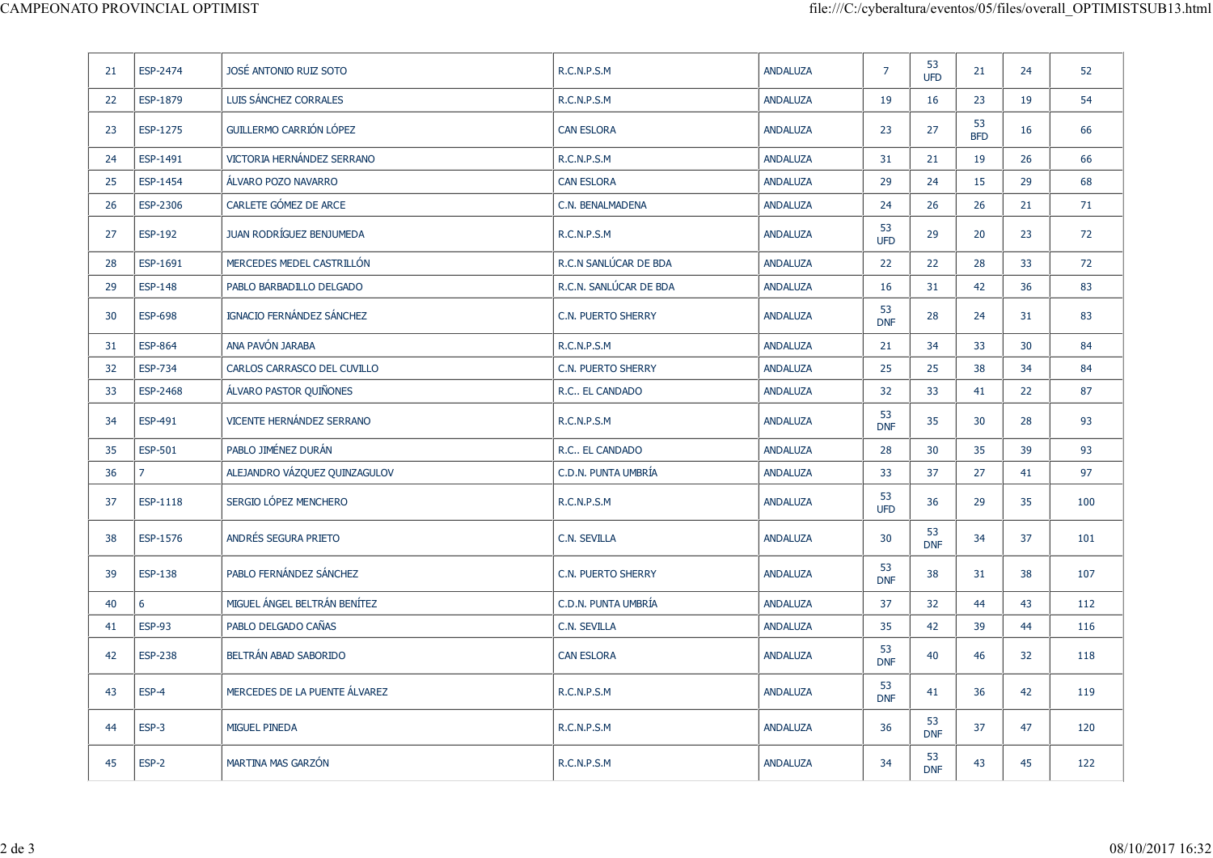|                |                                              |                                                                                                                                            |                                           |                                                     |                                                                   |                       |                              | 52                                                                                               |
|----------------|----------------------------------------------|--------------------------------------------------------------------------------------------------------------------------------------------|-------------------------------------------|-----------------------------------------------------|-------------------------------------------------------------------|-----------------------|------------------------------|--------------------------------------------------------------------------------------------------|
|                |                                              |                                                                                                                                            |                                           |                                                     |                                                                   |                       |                              | 54                                                                                               |
| ESP-1275       |                                              | <b>CAN ESLORA</b>                                                                                                                          | ANDALUZA                                  | 23                                                  | 27                                                                | 53                    |                              | 66                                                                                               |
|                |                                              |                                                                                                                                            |                                           |                                                     |                                                                   |                       |                              | 66                                                                                               |
|                | ÁLVARO POZO NAVARRO                          | <b>CAN ESLORA</b>                                                                                                                          |                                           |                                                     | 24                                                                | 15                    |                              | 68                                                                                               |
| ESP-2306       | CARLETE GÓMEZ DE ARCE                        | C.N. BENALMADENA                                                                                                                           | ANDALUZA                                  | 24                                                  | 26                                                                | 26                    | 21                           | 71                                                                                               |
| <b>ESP-192</b> | JUAN RODRÍGUEZ BENJUMEDA                     | R.C.N.P.S.M                                                                                                                                | ANDALUZA                                  | 53                                                  | 29                                                                | 20                    | 23                           | 72                                                                                               |
| ESP-1691       | MERCEDES MEDEL CASTRILLÓN                    | R.C.N SANLÚCAR DE BDA                                                                                                                      | ANDALUZA                                  | 22                                                  | 22                                                                | 28                    | 33                           | 72                                                                                               |
| ESP-148        | PABLO BARBADILLO DELGADO                     | R.C.N. SANLÚCAR DE BDA                                                                                                                     | ANDALUZA                                  | 16                                                  | 31                                                                | 42                    | 36                           | 83                                                                                               |
| <b>ESP-698</b> | IGNACIO FERNÁNDEZ SÁNCHEZ                    | C.N. PUERTO SHERRY                                                                                                                         | ANDALUZA                                  | 53<br><b>DNF</b>                                    | 28                                                                | 24                    | 31                           | 83                                                                                               |
| <b>ESP-864</b> | ANA PAVÓN JARABA                             | R.C.N.P.S.M                                                                                                                                | ANDALUZA                                  | 21                                                  | 34                                                                | 33                    | 30                           | 84                                                                                               |
| <b>ESP-734</b> | CARLOS CARRASCO DEL CUVILLO                  | C.N. PUERTO SHERRY                                                                                                                         | ANDALUZA                                  | 25                                                  | 25                                                                | 38                    | 34                           | 84                                                                                               |
| ESP-2468       | ÁLVARO PASTOR QUIÑONES                       | R.C EL CANDADO                                                                                                                             | ANDALUZA                                  | 32                                                  | 33                                                                | 41                    | 22                           | 87                                                                                               |
| ESP-491        | VICENTE HERNÁNDEZ SERRANO                    | R.C.N.P.S.M                                                                                                                                | ANDALUZA                                  | 53<br><b>DNF</b>                                    | 35                                                                | 30                    | 28                           | 93                                                                                               |
| ESP-501        | PABLO JIMÉNEZ DURÁN                          | R.C EL CANDADO                                                                                                                             | ANDALUZA                                  | 28                                                  | 30                                                                | 35                    | 39                           | 93                                                                                               |
|                | ALEJANDRO VÁZQUEZ QUINZAGULOV                | C.D.N. PUNTA UMBRÍA                                                                                                                        | ANDALUZA                                  | 33                                                  | 37                                                                | 27                    | 41                           | 97                                                                                               |
| ESP-1118       | SERGIO LÓPEZ MENCHERO                        | R.C.N.P.S.M                                                                                                                                | <b>ANDALUZA</b>                           | <b>UFD</b>                                          | 36                                                                | 29                    | 35                           | 100                                                                                              |
| ESP-1576       | ANDRÉS SEGURA PRIETO                         | C.N. SEVILLA                                                                                                                               | ANDALUZA                                  | 30                                                  | 53<br>DNF                                                         | 34                    | 37                           | 101                                                                                              |
| ESP-138        | PABLO FERNÁNDEZ SÁNCHEZ                      | C.N. PUERTO SHERRY                                                                                                                         | ANDALUZA                                  |                                                     | 38                                                                | 31                    | 38                           | 107                                                                                              |
| 6              | MIGUEL ÁNGEL BELTRÁN BENÍTEZ                 | C.D.N. PUNTA UMBRÍA                                                                                                                        | ANDALUZA                                  | 37                                                  | 32                                                                | 44                    | 43                           | 112                                                                                              |
| <b>ESP-93</b>  | PABLO DELGADO CAÑAS                          | C.N. SEVILLA                                                                                                                               | ANDALUZA                                  | 35                                                  | 42                                                                | 39                    | 44                           | 116                                                                                              |
| <b>ESP-238</b> | BELTRÁN ABAD SABORIDO                        | <b>CAN ESLORA</b>                                                                                                                          | ANDALUZA                                  | 53<br><b>DNF</b>                                    | 40                                                                | 46                    | 32                           | 118                                                                                              |
| ESP-4          | MERCEDES DE LA PUENTE ÁLVAREZ                | R.C.N.P.S.M                                                                                                                                | ANDALUZA                                  | 53<br><b>DNF</b>                                    | 41                                                                | 36                    | 42                           | 119                                                                                              |
| ESP-3          | MIGUEL PINEDA                                | R.C.N.P.S.M                                                                                                                                | ANDALUZA                                  | 36                                                  | 53<br>DNF                                                         | 37                    | 47                           | 120                                                                                              |
|                |                                              |                                                                                                                                            |                                           |                                                     | 53                                                                | 43                    | 45                           | 122                                                                                              |
|                | ESP-2474<br>ESP-1879<br>ESP-1491<br>ESP-1454 | CAMPEONATO PROVINCIAL OPTIMIST<br>JOSÉ ANTONIO RUIZ SOTO<br>LUIS SÁNCHEZ CORRALES<br>GUILLERMO CARRIÓN LÓPEZ<br>VICTORIA HERNÁNDEZ SERRANO | R.C.N.P.S.M<br>R.C.N.P.S.M<br>R.C.N.P.S.M | ANDALUZA<br>ANDALUZA<br>ANDALUZA<br><b>ANDALUZA</b> | $\overline{7}$<br>19<br>31<br>29<br><b>UFD</b><br>53<br>53<br>DNF | 53<br>UFD<br>16<br>21 | 21<br>23<br><b>BFD</b><br>19 | file:///C:/cyberaltura/eventos/05/files/overall_OPTIMISTSUB13.html<br>24<br>19<br>16<br>26<br>29 |